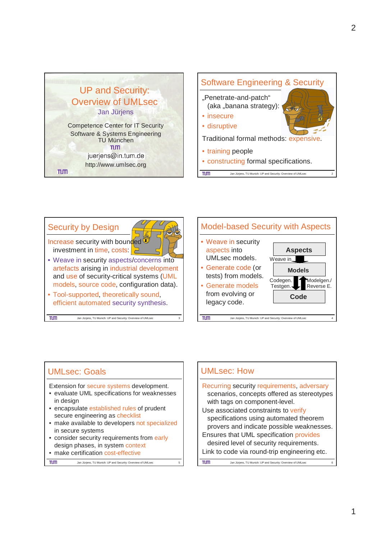



## UMLsec: Goals

 $n<sub>m</sub>$ 

- Extension for secure systems development.
- evaluate UML specifications for weaknesses in design
- encapsulate established rules of prudent secure engineering as checklist
- make available to developers not specialized in secure systems
- consider security requirements from early design phases, in system context
- make certification cost-effective

Jan Jürjens, TU Munich: UP and Security: Overview of UMLsec

#### UMLsec: How Recurring security requirements, adversary scenarios, concepts offered as stereotypes with tags on component-level. Use associated constraints to verify specifications using automated theorem provers and indicate possible weaknesses. Ensures that UML specification provides desired level of security requirements. Link to code via round-trip engineering etc.TUTT Jan Jürjens, TU Munich: UP and Security: Overview of UMLse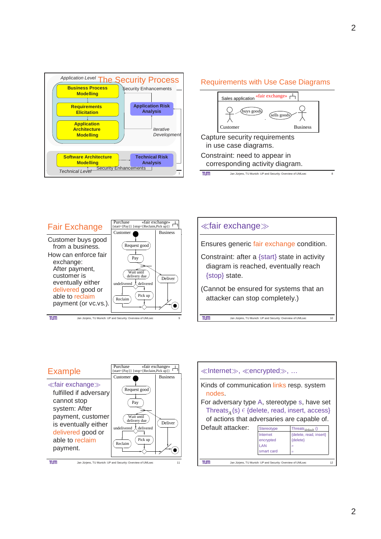

### Requirements with Use Case Diagrams







| <b>Example</b>                                                                                                                                                                       | Purchase<br>start={Pay}} {stop={Reclaim,Pick up}}                                                               | «fair exchange»            |
|--------------------------------------------------------------------------------------------------------------------------------------------------------------------------------------|-----------------------------------------------------------------------------------------------------------------|----------------------------|
| $\ll$ fair exchange $\gg$<br>fulfilled if adversary<br>cannot stop<br>system: After<br>payment, customer<br>is eventually either<br>delivered good or<br>able to reclaim<br>payment. | Customer<br>Request good<br>Pay<br>Wait until<br>delivery due<br>undelivered<br>delivered<br>Pick up<br>Reclaim | <b>Business</b><br>Deliver |
|                                                                                                                                                                                      | Jan Jüriens, TU Munich: UP and Security: Overview of UMI sec.                                                   |                            |

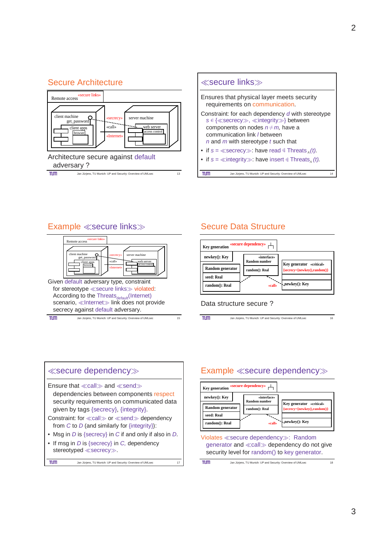## Secure Architecture





## Example ≪secure links≫



# Secure Data Structure



### Data structure secure ?

 $TUT$ Jan Jürjens, TU Munich: UP and Security: Overview of UMLsec 16



# Example ≪secure dependency≫

| <b>Key generation</b>                                             | «secure dependency»                                             |                                                                            |
|-------------------------------------------------------------------|-----------------------------------------------------------------|----------------------------------------------------------------------------|
| newkey(): Key<br>Random generator<br>seed: Real<br>random(): Real | «interface»<br><b>Random number</b><br>random(): Real<br>«call» | Key generator «critical»<br>{secrecy={newkey(),random()}<br>Anewkey(): Key |

Violates ≪secure dependency≫: Random generator and ≪call≫ dependency do not give security level for random() to key generator.

| TUП | Jan Jürjens, TU Munich: UP and Security: Overview of UMLsec |  |
|-----|-------------------------------------------------------------|--|
|-----|-------------------------------------------------------------|--|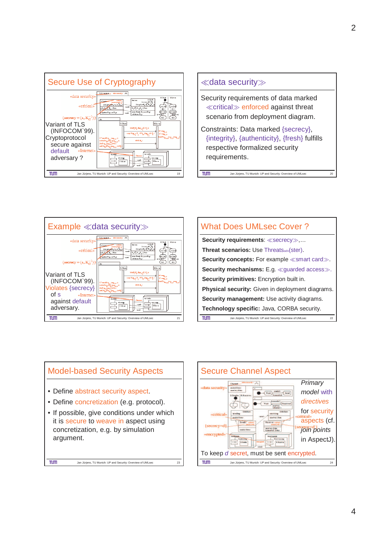





| <b>What Does UMLsec Cover?</b>                                    |  |  |
|-------------------------------------------------------------------|--|--|
| Security requirements: «secrecy»,                                 |  |  |
| <b>Threat scenarios: Use ThreatSadv(Ster).</b>                    |  |  |
| <b>Security concepts:</b> For example $\ll$ smart card $\gg$ .    |  |  |
| <b>Security mechanisms:</b> E.g. $\ll$ quarded access $\gg$ .     |  |  |
| <b>Security primitives:</b> Encryption built in.                  |  |  |
| <b>Physical security:</b> Given in deployment diagrams.           |  |  |
| <b>Security management:</b> Use activity diagrams.                |  |  |
| <b>Technology specific: Java, CORBA security.</b>                 |  |  |
| Jan Jürjens, TU Munich: UP and Security: Overview of UMLsec<br>22 |  |  |



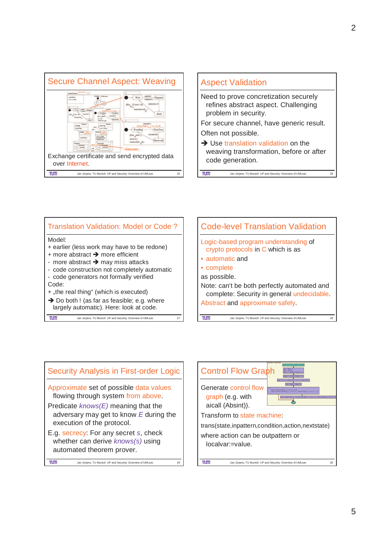







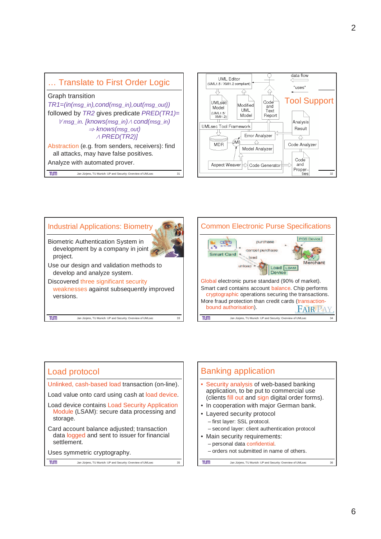







## Load protocol

Unlinked, cash-based load transaction (on-line).

Load value onto card using cash at load device.

- Load device contains Load Security Application Module (LSAM): secure data processing and storage.
- Card account balance adjusted; transaction data logged and sent to issuer for financial settlement.
- Uses symmetric cryptography.

 $n<sub>m</sub>$ 

Jan Jürjens, TU Munich: UP and Security: Overview of UMLsec 35